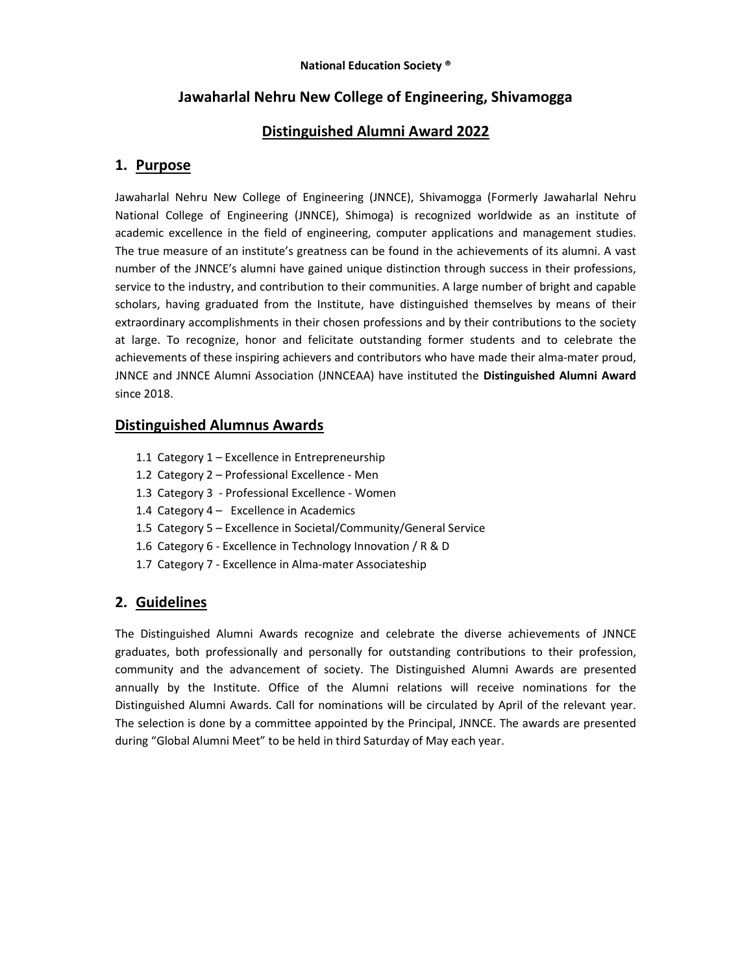#### National Education Society ®

## Jawaharlal Nehru New College of Engineering, Shivamogga

# Distinguished Alumni Award 2022

# 1. Purpose

Jawaharlal Nehru New College of Engineering (JNNCE), Shivamogga (Formerly Jawaharlal Nehru National College of Engineering (JNNCE), Shimoga) is recognized worldwide as an institute of academic excellence in the field of engineering, computer applications and management studies. The true measure of an institute's greatness can be found in the achievements of its alumni. A vast number of the JNNCE's alumni have gained unique distinction through success in their professions, service to the industry, and contribution to their communities. A large number of bright and capable scholars, having graduated from the Institute, have distinguished themselves by means of their extraordinary accomplishments in their chosen professions and by their contributions to the society at large. To recognize, honor and felicitate outstanding former students and to celebrate the achievements of these inspiring achievers and contributors who have made their alma-mater proud, JNNCE and JNNCE Alumni Association (JNNCEAA) have instituted the Distinguished Alumni Award since 2018.

## Distinguished Alumnus Awards

- 1.1 Category 1 Excellence in Entrepreneurship
- 1.2 Category 2 Professional Excellence Men
- 1.3 Category 3 Professional Excellence Women
- 1.4 Category 4 Excellence in Academics
- 1.5 Category 5 Excellence in Societal/Community/General Service
- 1.6 Category 6 Excellence in Technology Innovation / R & D
- 1.7 Category 7 Excellence in Alma-mater Associateship

## 2. Guidelines

The Distinguished Alumni Awards recognize and celebrate the diverse achievements of JNNCE graduates, both professionally and personally for outstanding contributions to their profession, community and the advancement of society. The Distinguished Alumni Awards are presented annually by the Institute. Office of the Alumni relations will receive nominations for the Distinguished Alumni Awards. Call for nominations will be circulated by April of the relevant year. The selection is done by a committee appointed by the Principal, JNNCE. The awards are presented during "Global Alumni Meet" to be held in third Saturday of May each year.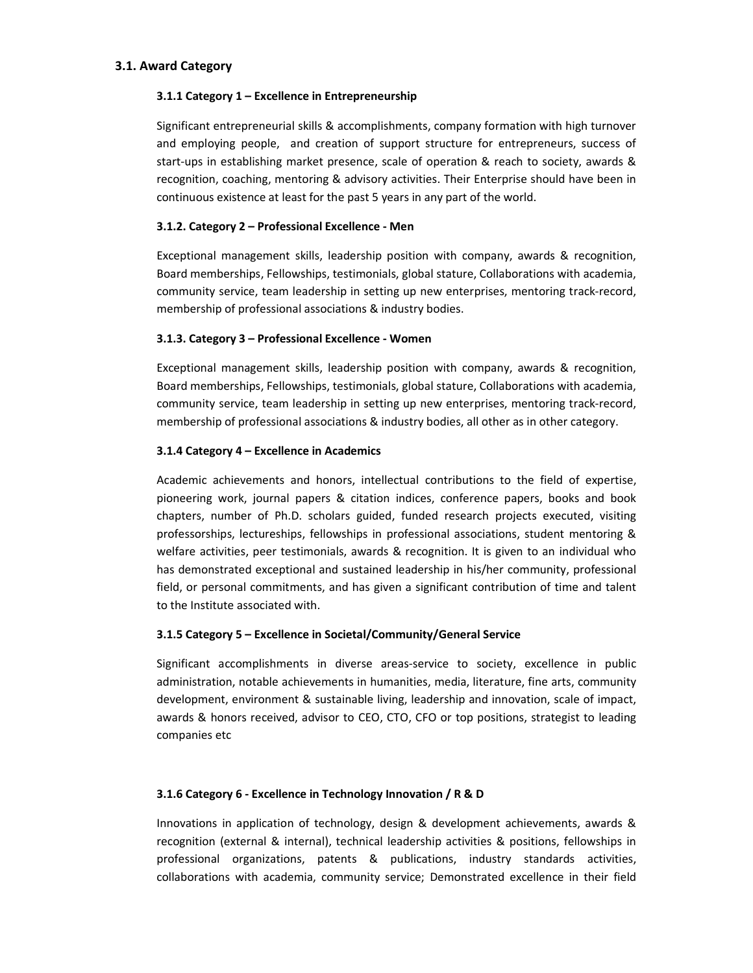#### 3.1. Award Category

#### 3.1.1 Category 1 – Excellence in Entrepreneurship

Significant entrepreneurial skills & accomplishments, company formation with high turnover and employing people, and creation of support structure for entrepreneurs, success of start-ups in establishing market presence, scale of operation & reach to society, awards & recognition, coaching, mentoring & advisory activities. Their Enterprise should have been in continuous existence at least for the past 5 years in any part of the world.

#### 3.1.2. Category 2 – Professional Excellence - Men

Exceptional management skills, leadership position with company, awards & recognition, Board memberships, Fellowships, testimonials, global stature, Collaborations with academia, community service, team leadership in setting up new enterprises, mentoring track-record, membership of professional associations & industry bodies.

#### 3.1.3. Category 3 – Professional Excellence - Women

Exceptional management skills, leadership position with company, awards & recognition, Board memberships, Fellowships, testimonials, global stature, Collaborations with academia, community service, team leadership in setting up new enterprises, mentoring track-record, membership of professional associations & industry bodies, all other as in other category.

#### 3.1.4 Category 4 – Excellence in Academics

Academic achievements and honors, intellectual contributions to the field of expertise, pioneering work, journal papers & citation indices, conference papers, books and book chapters, number of Ph.D. scholars guided, funded research projects executed, visiting professorships, lectureships, fellowships in professional associations, student mentoring & welfare activities, peer testimonials, awards & recognition. It is given to an individual who has demonstrated exceptional and sustained leadership in his/her community, professional field, or personal commitments, and has given a significant contribution of time and talent to the Institute associated with.

#### 3.1.5 Category 5 – Excellence in Societal/Community/General Service

Significant accomplishments in diverse areas-service to society, excellence in public administration, notable achievements in humanities, media, literature, fine arts, community development, environment & sustainable living, leadership and innovation, scale of impact, awards & honors received, advisor to CEO, CTO, CFO or top positions, strategist to leading companies etc

#### 3.1.6 Category 6 - Excellence in Technology Innovation / R & D

Innovations in application of technology, design & development achievements, awards & recognition (external & internal), technical leadership activities & positions, fellowships in professional organizations, patents & publications, industry standards activities, collaborations with academia, community service; Demonstrated excellence in their field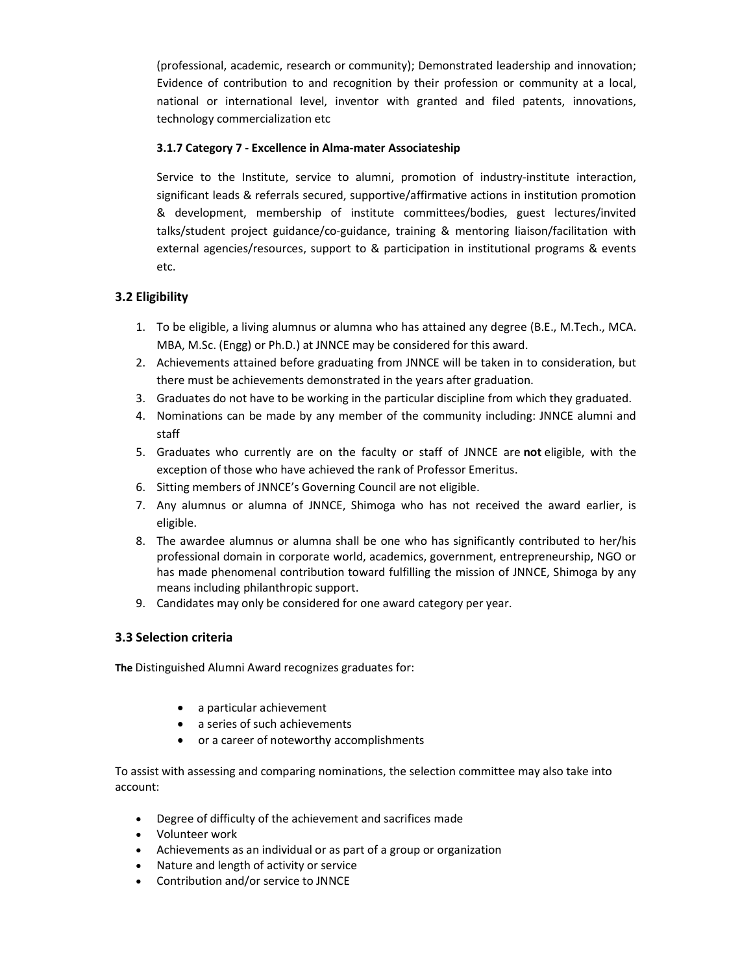(professional, academic, research or community); Demonstrated leadership and innovation; Evidence of contribution to and recognition by their profession or community at a local, national or international level, inventor with granted and filed patents, innovations, technology commercialization etc

### 3.1.7 Category 7 - Excellence in Alma-mater Associateship

Service to the Institute, service to alumni, promotion of industry-institute interaction, significant leads & referrals secured, supportive/affirmative actions in institution promotion & development, membership of institute committees/bodies, guest lectures/invited talks/student project guidance/co-guidance, training & mentoring liaison/facilitation with external agencies/resources, support to & participation in institutional programs & events etc.

## 3.2 Eligibility

- 1. To be eligible, a living alumnus or alumna who has attained any degree (B.E., M.Tech., MCA. MBA, M.Sc. (Engg) or Ph.D.) at JNNCE may be considered for this award.
- 2. Achievements attained before graduating from JNNCE will be taken in to consideration, but there must be achievements demonstrated in the years after graduation.
- 3. Graduates do not have to be working in the particular discipline from which they graduated.
- 4. Nominations can be made by any member of the community including: JNNCE alumni and staff
- 5. Graduates who currently are on the faculty or staff of JNNCE are not eligible, with the exception of those who have achieved the rank of Professor Emeritus.
- 6. Sitting members of JNNCE's Governing Council are not eligible.
- 7. Any alumnus or alumna of JNNCE, Shimoga who has not received the award earlier, is eligible.
- 8. The awardee alumnus or alumna shall be one who has significantly contributed to her/his professional domain in corporate world, academics, government, entrepreneurship, NGO or has made phenomenal contribution toward fulfilling the mission of JNNCE, Shimoga by any means including philanthropic support.
- 9. Candidates may only be considered for one award category per year.

### 3.3 Selection criteria

The Distinguished Alumni Award recognizes graduates for:

- a particular achievement
- a series of such achievements
- or a career of noteworthy accomplishments

To assist with assessing and comparing nominations, the selection committee may also take into account:

- Degree of difficulty of the achievement and sacrifices made
- Volunteer work
- Achievements as an individual or as part of a group or organization
- Nature and length of activity or service
- Contribution and/or service to JNNCE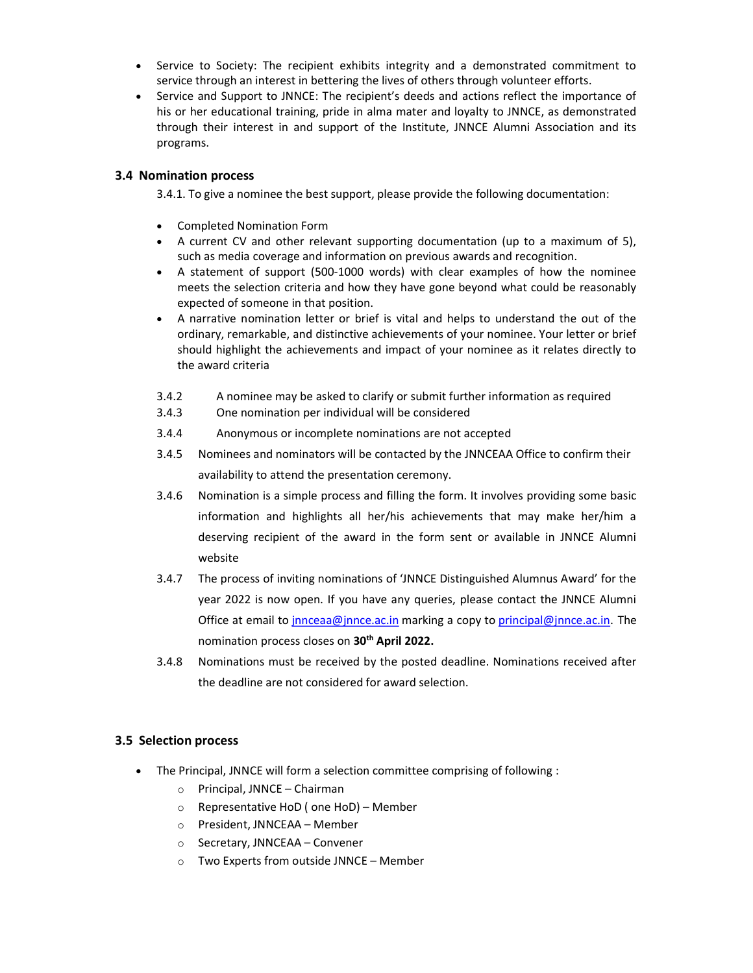- Service to Society: The recipient exhibits integrity and a demonstrated commitment to service through an interest in bettering the lives of others through volunteer efforts.
- Service and Support to JNNCE: The recipient's deeds and actions reflect the importance of his or her educational training, pride in alma mater and loyalty to JNNCE, as demonstrated through their interest in and support of the Institute, JNNCE Alumni Association and its programs.

### 3.4 Nomination process

3.4.1. To give a nominee the best support, please provide the following documentation:

- Completed Nomination Form
- A current CV and other relevant supporting documentation (up to a maximum of 5), such as media coverage and information on previous awards and recognition.
- A statement of support (500-1000 words) with clear examples of how the nominee meets the selection criteria and how they have gone beyond what could be reasonably expected of someone in that position.
- A narrative nomination letter or brief is vital and helps to understand the out of the ordinary, remarkable, and distinctive achievements of your nominee. Your letter or brief should highlight the achievements and impact of your nominee as it relates directly to the award criteria
- 3.4.2 A nominee may be asked to clarify or submit further information as required
- 3.4.3 One nomination per individual will be considered
- 3.4.4 Anonymous or incomplete nominations are not accepted
- 3.4.5 Nominees and nominators will be contacted by the JNNCEAA Office to confirm their availability to attend the presentation ceremony.
- 3.4.6 Nomination is a simple process and filling the form. It involves providing some basic information and highlights all her/his achievements that may make her/him a deserving recipient of the award in the form sent or available in JNNCE Alumni website
- 3.4.7 The process of inviting nominations of 'JNNCE Distinguished Alumnus Award' for the year 2022 is now open. If you have any queries, please contact the JNNCE Alumni Office at email to *jnnceaa@jnnce.ac.in* marking a copy to *principal@jnnce.ac.in*. The nomination process closes on 30<sup>th</sup> April 2022.
- 3.4.8 Nominations must be received by the posted deadline. Nominations received after the deadline are not considered for award selection.

## 3.5 Selection process

- The Principal, JNNCE will form a selection committee comprising of following :
	- o Principal, JNNCE Chairman
	- o Representative HoD ( one HoD) Member
	- o President, JNNCEAA Member
	- o Secretary, JNNCEAA Convener
	- o Two Experts from outside JNNCE Member